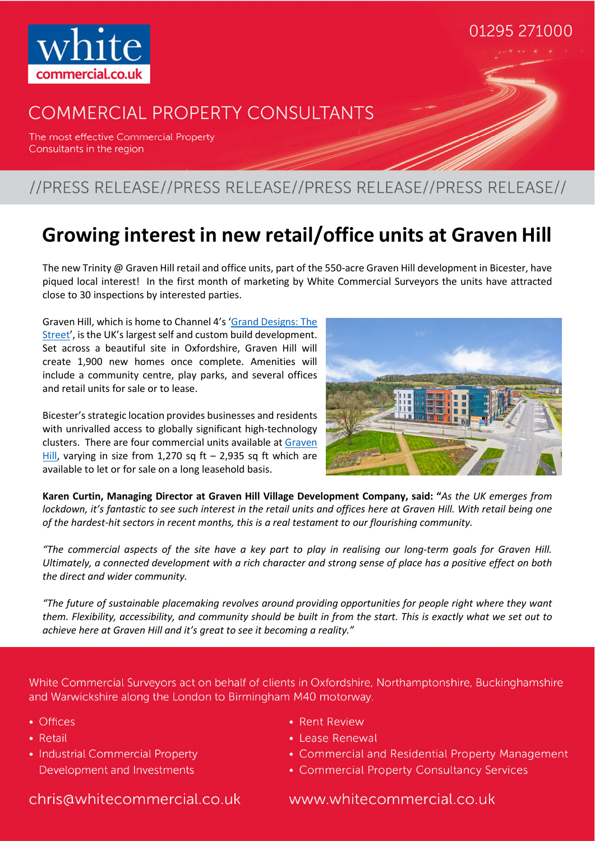

## **COMMERCIAL PROPERTY CONSULTANTS**

The most effective Commercial Property Consultants in the region

### //PRESS RELEASE//PRESS RELEASE//PRESS RELEASE//PRESS RELEASE//

## **Growing interest in new retail/office units at Graven Hill**

The new Trinity @ Graven Hill retail and office units, part of the 550-acre Graven Hill development in Bicester, have piqued local interest! In the first month of marketing by White Commercial Surveyors the units have attracted close to 30 inspections by interested parties.

Graven Hill, which is home to Channel 4's 'Grand Designs: The Street', is the UK's largest self and custom build development. Set across a beautiful site in Oxfordshire, Graven Hill will create 1,900 new homes once complete. Amenities will include a community centre, play parks, and several offices and retail units for sale or to lease.

Bicester's strategic location provides businesses and residents with unrivalled access to globally significant high-technology clusters. There are four commercial units available at Graven Hill, varying in size from 1,270 sq ft  $-$  2,935 sq ft which are available to let or for sale on a long leasehold basis.



01295 271000

**Karen Curtin, Managing Director at Graven Hill Village Development Company, said: "***As the UK emerges from lockdown, it's fantastic to see such interest in the retail units and offices here at Graven Hill. With retail being one of the hardest-hit sectors in recent months, this is a real testament to our flourishing community.* 

*"The commercial aspects of the site have a key part to play in realising our long-term goals for Graven Hill. Ultimately, a connected development with a rich character and strong sense of place has a positive effect on both the direct and wider community.* 

*"The future of sustainable placemaking revolves around providing opportunities for people right where they want them. Flexibility, accessibility, and community should be built in from the start. This is exactly what we set out to achieve here at Graven Hill and it's great to see it becoming a reality."* 

White Commercial Surveyors act on behalf of clients in Oxfordshire, Northamptonshire, Buckinghamshire and Warwickshire along the London to Birmingham M40 motorway.

- Offices
- Retail

• Industrial Commercial Property Development and Investments

- Rent Review
- Lease Renewal
- Commercial and Residential Property Management
- Commercial Property Consultancy Services

chris@whitecommercial.co.uk

www.whitecommercial.co.uk